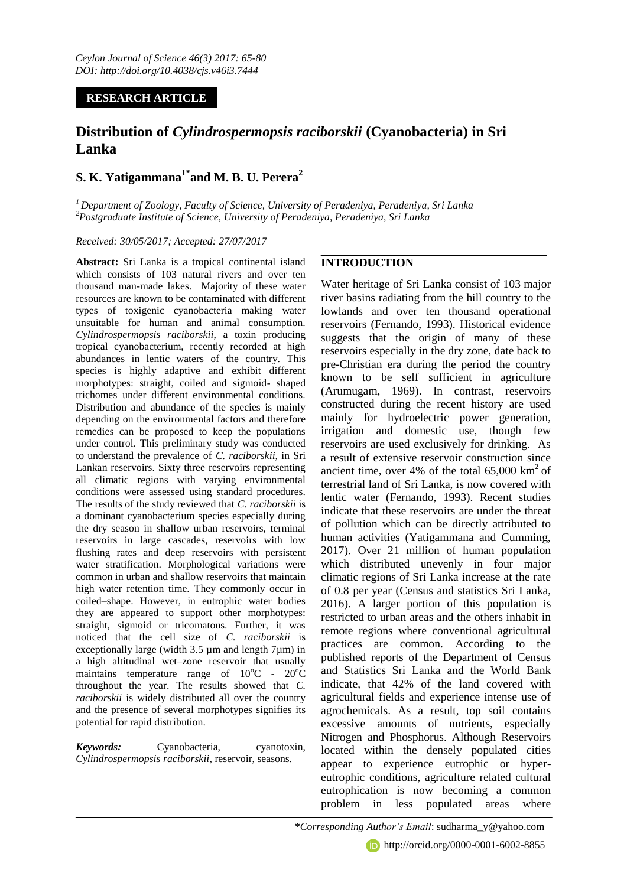# **RESEARCH ARTICLE**

# **Distribution of** *Cylindrospermopsis raciborskii* **(Cyanobacteria) in Sri Lanka**

# **S. K. Yatigammana1\*and M. B. U. Perera<sup>2</sup>**

*<sup>1</sup>Department of Zoology, Faculty of Science, University of Peradeniya, Peradeniya, Sri Lanka <sup>2</sup>Postgraduate Institute of Science, University of Peradeniya, Peradeniya, Sri Lanka* 

*Received: 30/05/2017; Accepted: 27/07/2017*

**Abstract:** Sri Lanka is a tropical continental island which consists of 103 natural rivers and over ten thousand man-made lakes. Majority of these water resources are known to be contaminated with different types of toxigenic cyanobacteria making water unsuitable for human and animal consumption. *Cylindrospermopsis raciborskii*, a toxin producing tropical cyanobacterium, recently recorded at high abundances in lentic waters of the country. This species is highly adaptive and exhibit different morphotypes: straight, coiled and sigmoid- shaped trichomes under different environmental conditions. Distribution and abundance of the species is mainly depending on the environmental factors and therefore remedies can be proposed to keep the populations under control. This preliminary study was conducted to understand the prevalence of *C. raciborskii,* in Sri Lankan reservoirs. Sixty three reservoirs representing all climatic regions with varying environmental conditions were assessed using standard procedures. The results of the study reviewed that *C. raciborskii* is a dominant cyanobacterium species especially during the dry season in shallow urban reservoirs, terminal reservoirs in large cascades, reservoirs with low flushing rates and deep reservoirs with persistent water stratification. Morphological variations were common in urban and shallow reservoirs that maintain high water retention time. They commonly occur in coiled–shape. However, in eutrophic water bodies they are appeared to support other morphotypes: straight, sigmoid or tricomatous. Further, it was noticed that the cell size of *C. raciborskii* is exceptionally large (width  $3.5 \mu$ m and length  $7 \mu$ m) in a high altitudinal wet–zone reservoir that usually maintains temperature range of  $10^{\circ}$ C -  $20^{\circ}$ C throughout the year. The results showed that *C. raciborskii* is widely distributed all over the country and the presence of several morphotypes signifies its potential for rapid distribution.

*Keywords:* Cyanobacteria, cyanotoxin, *Cylindrospermopsis raciborskii*, reservoir, seasons.

# **INTRODUCTION**

Water heritage of Sri Lanka consist of 103 major river basins radiating from the hill country to the lowlands and over ten thousand operational reservoirs (Fernando, 1993). Historical evidence suggests that the origin of many of these reservoirs especially in the dry zone, date back to pre-Christian era during the period the country known to be self sufficient in agriculture (Arumugam, 1969). In contrast, reservoirs constructed during the recent history are used mainly for hydroelectric power generation, irrigation and domestic use, though few reservoirs are used exclusively for drinking. As a result of extensive reservoir construction since ancient time, over 4% of the total  $65,000 \text{ km}^2$  of terrestrial land of Sri Lanka, is now covered with lentic water (Fernando, 1993). Recent studies indicate that these reservoirs are under the threat of pollution which can be directly attributed to human activities (Yatigammana and Cumming, 2017). Over 21 million of human population which distributed unevenly in four major climatic regions of Sri Lanka increase at the rate of 0.8 per year (Census and statistics Sri Lanka, 2016). A larger portion of this population is restricted to urban areas and the others inhabit in remote regions where conventional agricultural practices are common. According to the published reports of the Department of Census and Statistics Sri Lanka and the World Bank indicate, that 42% of the land covered with agricultural fields and experience intense use of agrochemicals. As a result, top soil contains excessive amounts of nutrients, especially Nitrogen and Phosphorus. Although Reservoirs located within the densely populated cities appear to experience eutrophic or hypereutrophic conditions, agriculture related cultural eutrophication is now becoming a common problem in less populated areas where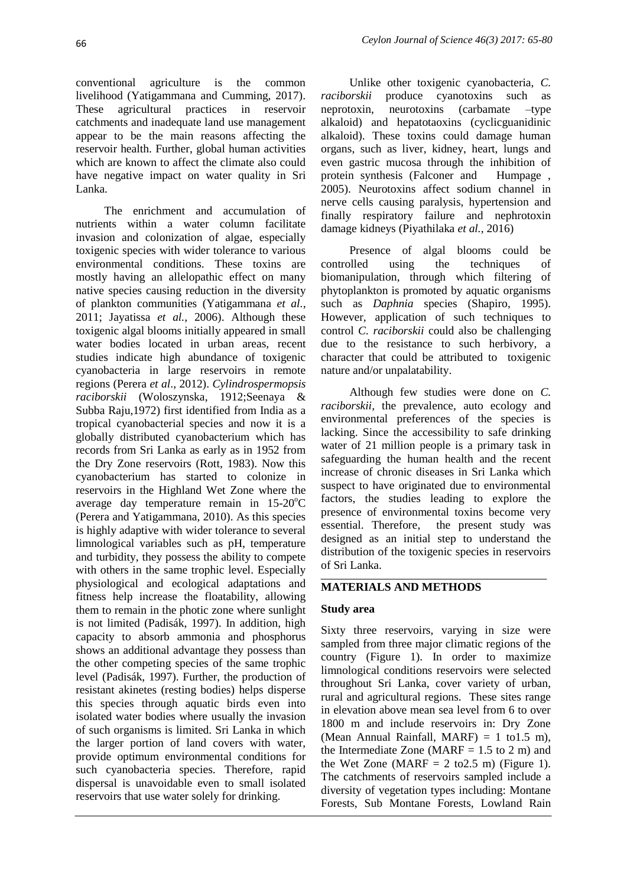conventional agriculture is the common livelihood (Yatigammana and Cumming, 2017). These agricultural practices in reservoir catchments and inadequate land use management appear to be the main reasons affecting the reservoir health. Further, global human activities which are known to affect the climate also could have negative impact on water quality in Sri Lanka.

The enrichment and accumulation of nutrients within a water column facilitate invasion and colonization of algae, especially toxigenic species with wider tolerance to various environmental conditions. These toxins are mostly having an allelopathic effect on many native species causing reduction in the diversity of plankton communities (Yatigammana *et al.*, 2011; Jayatissa *et al.*, 2006). Although these toxigenic algal blooms initially appeared in small water bodies located in urban areas, recent studies indicate high abundance of toxigenic cyanobacteria in large reservoirs in remote regions (Perera *et al*., 2012). *Cylindrospermopsis raciborskii* (Woloszynska, 1912;Seenaya & Subba Raju,1972) first identified from India as a tropical cyanobacterial species and now it is a globally distributed cyanobacterium which has records from Sri Lanka as early as in 1952 from the Dry Zone reservoirs (Rott, 1983). Now this cyanobacterium has started to colonize in reservoirs in the Highland Wet Zone where the average day temperature remain in  $15{\text -}20^{\circ}\text{C}$ (Perera and Yatigammana, 2010). As this species is highly adaptive with wider tolerance to several limnological variables such as pH, temperature and turbidity, they possess the ability to compete with others in the same trophic level. Especially physiological and ecological adaptations and fitness help increase the floatability, allowing them to remain in the photic zone where sunlight is not limited (Padisák, 1997). In addition, high capacity to absorb ammonia and phosphorus shows an additional advantage they possess than the other competing species of the same trophic level (Padisák, 1997). Further, the production of resistant akinetes (resting bodies) helps disperse this species through aquatic birds even into isolated water bodies where usually the invasion of such organisms is limited. Sri Lanka in which the larger portion of land covers with water, provide optimum environmental conditions for such cyanobacteria species. Therefore, rapid dispersal is unavoidable even to small isolated reservoirs that use water solely for drinking.

Unlike other toxigenic cyanobacteria, *C. raciborskii* produce cyanotoxins such as neprotoxin, neurotoxins (carbamate –type alkaloid) and hepatotaoxins (cyclicguanidinic alkaloid). These toxins could damage human organs, such as liver, kidney, heart, lungs and even gastric mucosa through the inhibition of protein synthesis (Falconer and Humpage , 2005). Neurotoxins affect sodium channel in nerve cells causing paralysis, hypertension and finally respiratory failure and nephrotoxin damage kidneys (Piyathilaka *et al.,* 2016)

Presence of algal blooms could be controlled using the techniques of biomanipulation, through which filtering of phytoplankton is promoted by aquatic organisms such as *Daphnia* species (Shapiro, 1995). However, application of such techniques to control *C. raciborskii* could also be challenging due to the resistance to such herbivory, a character that could be attributed to toxigenic nature and/or unpalatability.

Although few studies were done on *C. raciborskii,* the prevalence, auto ecology and environmental preferences of the species is lacking. Since the accessibility to safe drinking water of 21 million people is a primary task in safeguarding the human health and the recent increase of chronic diseases in Sri Lanka which suspect to have originated due to environmental factors, the studies leading to explore the presence of environmental toxins become very essential. Therefore, the present study was designed as an initial step to understand the distribution of the toxigenic species in reservoirs of Sri Lanka.

### **MATERIALS AND METHODS**

#### **Study area**

Sixty three reservoirs, varying in size were sampled from three major climatic regions of the country (Figure 1). In order to maximize limnological conditions reservoirs were selected throughout Sri Lanka, cover variety of urban, rural and agricultural regions. These sites range in elevation above mean sea level from 6 to over 1800 m and include reservoirs in: Dry Zone (Mean Annual Rainfall, MARF) = 1 to 1.5 m), the Intermediate Zone (MARF  $= 1.5$  to 2 m) and the Wet Zone (MARF =  $2 \text{ to } 2.5 \text{ m}$ ) (Figure 1). The catchments of reservoirs sampled include a diversity of vegetation types including: Montane Forests, Sub Montane Forests, Lowland Rain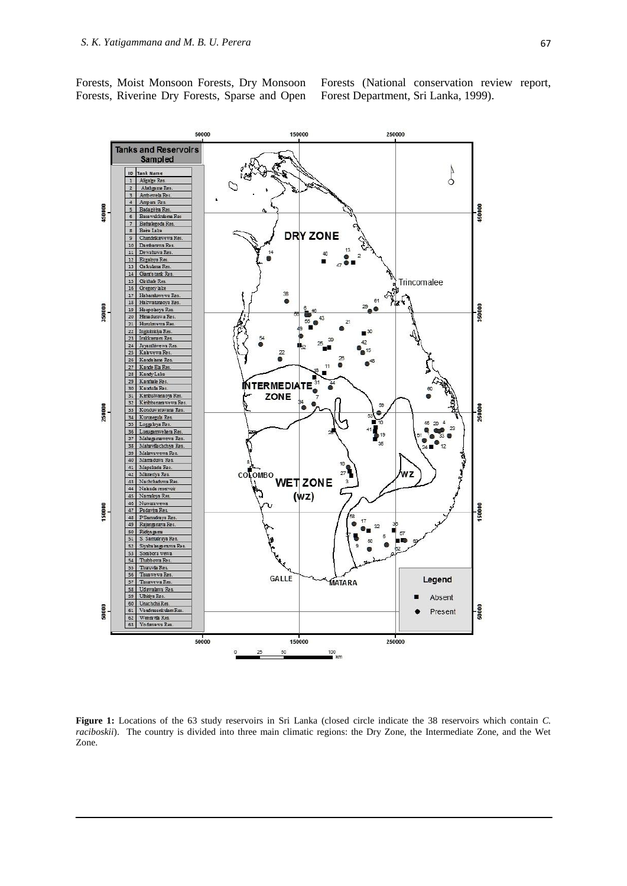Forests, Moist Monsoon Forests, Dry Monsoon Forests, Riverine Dry Forests, Sparse and Open Forests (National conservation review report, Forest Department, Sri Lanka, 1999).



Figure 1: Locations of the 63 study reservoirs in Sri Lanka (closed circle indicate the 38 reservoirs which contain *C*. *raciboskii*). The country is divided into three main climatic regions: the Dry Zone, the Intermediate Zone, and the Wet Zone.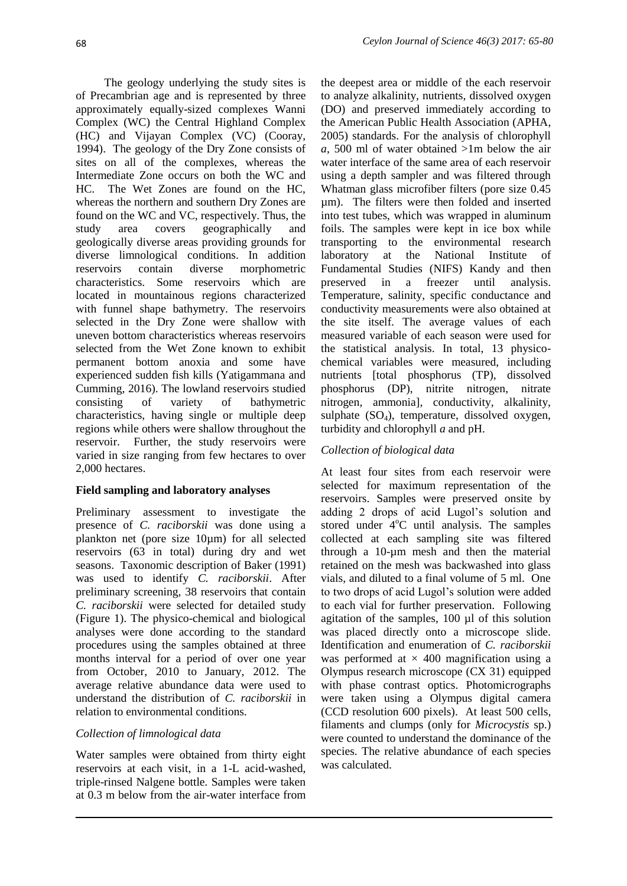The geology underlying the study sites is of Precambrian age and is represented by three approximately equally-sized complexes Wanni Complex (WC) the Central Highland Complex (HC) and Vijayan Complex (VC) (Cooray, 1994). The geology of the Dry Zone consists of sites on all of the complexes, whereas the Intermediate Zone occurs on both the WC and HC. The Wet Zones are found on the HC, whereas the northern and southern Dry Zones are found on the WC and VC, respectively. Thus, the study area covers geographically and geologically diverse areas providing grounds for diverse limnological conditions. In addition reservoirs contain diverse morphometric characteristics. Some reservoirs which are located in mountainous regions characterized with funnel shape bathymetry. The reservoirs selected in the Dry Zone were shallow with uneven bottom characteristics whereas reservoirs selected from the Wet Zone known to exhibit permanent bottom anoxia and some have experienced sudden fish kills (Yatigammana and Cumming, 2016). The lowland reservoirs studied consisting of variety of bathymetric characteristics, having single or multiple deep regions while others were shallow throughout the reservoir. Further, the study reservoirs were varied in size ranging from few hectares to over 2,000 hectares.

### **Field sampling and laboratory analyses**

Preliminary assessment to investigate the presence of *C. raciborskii* was done using a plankton net (pore size 10µm) for all selected reservoirs (63 in total) during dry and wet seasons. Taxonomic description of Baker (1991) was used to identify *C. raciborskii*. After preliminary screening, 38 reservoirs that contain *C. raciborskii* were selected for detailed study (Figure 1). The physico-chemical and biological analyses were done according to the standard procedures using the samples obtained at three months interval for a period of over one year from October, 2010 to January, 2012. The average relative abundance data were used to understand the distribution of *C. raciborskii* in relation to environmental conditions.

# *Collection of limnological data*

Water samples were obtained from thirty eight reservoirs at each visit, in a 1-L acid-washed, triple-rinsed Nalgene bottle. Samples were taken at 0.3 m below from the air-water interface from

the deepest area or middle of the each reservoir to analyze alkalinity, nutrients, dissolved oxygen (DO) and preserved immediately according to the American Public Health Association (APHA, 2005) standards. For the analysis of chlorophyll *a*, 500 ml of water obtained >1m below the air water interface of the same area of each reservoir using a depth sampler and was filtered through Whatman glass microfiber filters (pore size 0.45 µm). The filters were then folded and inserted into test tubes, which was wrapped in aluminum foils. The samples were kept in ice box while transporting to the environmental research laboratory at the National Institute of Fundamental Studies (NIFS) Kandy and then preserved in a freezer until analysis. Temperature, salinity, specific conductance and conductivity measurements were also obtained at the site itself. The average values of each measured variable of each season were used for the statistical analysis. In total, 13 physicochemical variables were measured, including nutrients [total phosphorus (TP), dissolved phosphorus (DP), nitrite nitrogen, nitrate nitrogen, ammonia], conductivity, alkalinity, sulphate  $(SO<sub>4</sub>)$ , temperature, dissolved oxygen, turbidity and chlorophyll *a* and pH.

# *Collection of biological data*

At least four sites from each reservoir were selected for maximum representation of the reservoirs. Samples were preserved onsite by adding 2 drops of acid Lugol's solution and stored under  $4^{\circ}$ C until analysis. The samples collected at each sampling site was filtered through a 10-µm mesh and then the material retained on the mesh was backwashed into glass vials, and diluted to a final volume of 5 ml. One to two drops of acid Lugol's solution were added to each vial for further preservation. Following agitation of the samples, 100 µl of this solution was placed directly onto a microscope slide. Identification and enumeration of *C. raciborskii* was performed at  $\times$  400 magnification using a Olympus research microscope (CX 31) equipped with phase contrast optics. Photomicrographs were taken using a Olympus digital camera (CCD resolution 600 pixels). At least 500 cells, filaments and clumps (only for *Microcystis* sp.) were counted to understand the dominance of the species. The relative abundance of each species was calculated.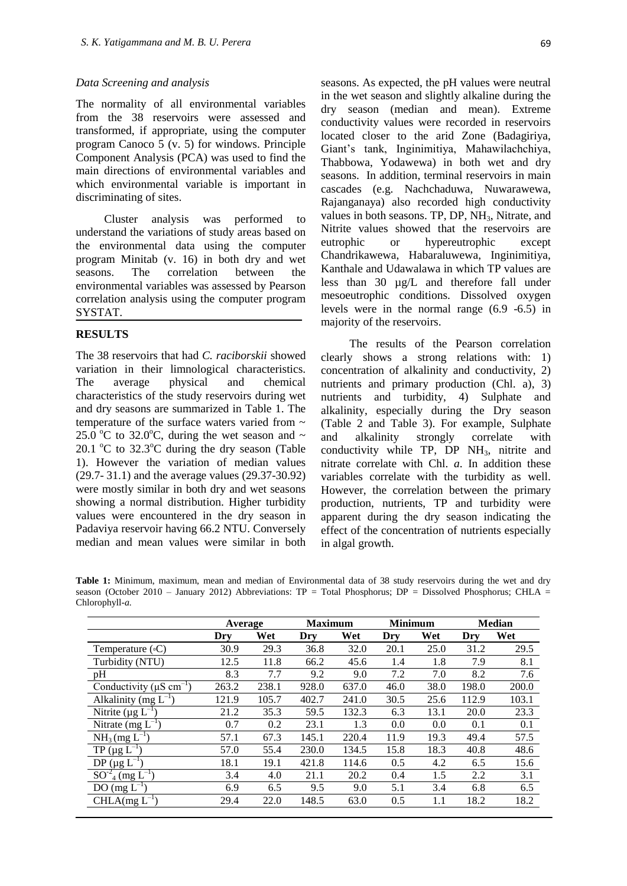#### *Data Screening and analysis*

The normality of all environmental variables from the 38 reservoirs were assessed and transformed, if appropriate, using the computer program Canoco 5 (v. 5) for windows. Principle Component Analysis (PCA) was used to find the main directions of environmental variables and which environmental variable is important in discriminating of sites.

Cluster analysis was performed to understand the variations of study areas based on the environmental data using the computer program Minitab (v. 16) in both dry and wet seasons. The correlation between the environmental variables was assessed by Pearson correlation analysis using the computer program SYSTAT.

#### **RESULTS**

The 38 reservoirs that had *C. raciborskii* showed variation in their limnological characteristics. The average physical and chemical characteristics of the study reservoirs during wet and dry seasons are summarized in Table 1. The temperature of the surface waters varied from  $\sim$ 25.0 °C to 32.0 °C, during the wet season and  $\sim$ 20.1  $^{\circ}$ C to 32.3 $^{\circ}$ C during the dry season (Table 1). However the variation of median values (29.7- 31.1) and the average values (29.37-30.92) were mostly similar in both dry and wet seasons showing a normal distribution. Higher turbidity values were encountered in the dry season in Padaviya reservoir having 66.2 NTU. Conversely median and mean values were similar in both seasons. As expected, the pH values were neutral in the wet season and slightly alkaline during the dry season (median and mean). Extreme conductivity values were recorded in reservoirs located closer to the arid Zone (Badagiriya, Giant's tank, Inginimitiya, Mahawilachchiya, Thabbowa, Yodawewa) in both wet and dry seasons. In addition, terminal reservoirs in main cascades (e.g. Nachchaduwa, Nuwarawewa, Rajanganaya) also recorded high conductivity values in both seasons. TP, DP, NH3, Nitrate, and Nitrite values showed that the reservoirs are eutrophic or hypereutrophic except Chandrikawewa, Habaraluwewa, Inginimitiya, Kanthale and Udawalawa in which TP values are less than 30 µg/L and therefore fall under mesoeutrophic conditions. Dissolved oxygen levels were in the normal range (6.9 -6.5) in majority of the reservoirs.

The results of the Pearson correlation clearly shows a strong relations with: 1) concentration of alkalinity and conductivity, 2) nutrients and primary production (Chl. a), 3) nutrients and turbidity, 4) Sulphate and alkalinity, especially during the Dry season (Table 2 and Table 3). For example, Sulphate and alkalinity strongly correlate with conductivity while TP,  $DP$  NH<sub>3</sub>, nitrite and nitrate correlate with Chl. *a*. In addition these variables correlate with the turbidity as well. However, the correlation between the primary production, nutrients, TP and turbidity were apparent during the dry season indicating the effect of the concentration of nutrients especially in algal growth.

**Table 1:** Minimum, maximum, mean and median of Environmental data of 38 study reservoirs during the wet and dry season (October 2010 – January 2012) Abbreviations: TP = Total Phosphorus; DP = Dissolved Phosphorus; CHLA = Chlorophyll-*a.*

|                                              | Average |       | <b>Maximum</b> |       | <b>Minimum</b> |      | <b>Median</b> |       |  |
|----------------------------------------------|---------|-------|----------------|-------|----------------|------|---------------|-------|--|
|                                              | Dry     | Wet   | Dry            | Wet   | Dry            | Wet  | Dry           | Wet   |  |
| Temperature $({\circ}C)$                     | 30.9    | 29.3  | 36.8           | 32.0  | 20.1           | 25.0 | 31.2          | 29.5  |  |
| Turbidity (NTU)                              | 12.5    | 11.8  | 66.2           | 45.6  | 1.4            | 1.8  | 7.9           | 8.1   |  |
| pH                                           | 8.3     | 7.7   | 9.2            | 9.0   | 7.2            | 7.0  | 8.2           | 7.6   |  |
| Conductivity ( $\mu$ S cm <sup>-1</sup> )    | 263.2   | 238.1 | 928.0          | 637.0 | 46.0           | 38.0 | 198.0         | 200.0 |  |
| Alkalinity (mg $L^{-1}$ )                    | 121.9   | 105.7 | 402.7          | 241.0 | 30.5           | 25.6 | 112.9         | 103.1 |  |
| Nitrite ( $\mu$ g L <sup>-1</sup> )          | 21.2    | 35.3  | 59.5           | 132.3 | 6.3            | 13.1 | 20.0          | 23.3  |  |
| Nitrate (mg $L^{-1}$ )                       | 0.7     | 0.2   | 23.1           | 1.3   | 0.0            | 0.0  | 0.1           | 0.1   |  |
| $NH_3$ (mg $L^{-1}$ )                        | 57.1    | 67.3  | 145.1          | 220.4 | 11.9           | 19.3 | 49.4          | 57.5  |  |
| $TP (\mu g L^{-1})$                          | 57.0    | 55.4  | 230.0          | 134.5 | 15.8           | 18.3 | 40.8          | 48.6  |  |
| DP $(\mu g L^{-1})$                          | 18.1    | 19.1  | 421.8          | 114.6 | 0.5            | 4.2  | 6.5           | 15.6  |  |
| $SO^{-2}$ <sub>4</sub> (mg L <sup>-1</sup> ) | 3.4     | 4.0   | 21.1           | 20.2  | 0.4            | 1.5  | 2.2           | 3.1   |  |
| $DO (mg L^{-1})$                             | 6.9     | 6.5   | 9.5            | 9.0   | 5.1            | 3.4  | 6.8           | 6.5   |  |
| $CHLA(mg L^{-1})$                            | 29.4    | 22.0  | 148.5          | 63.0  | 0.5            | 1.1  | 18.2          | 18.2  |  |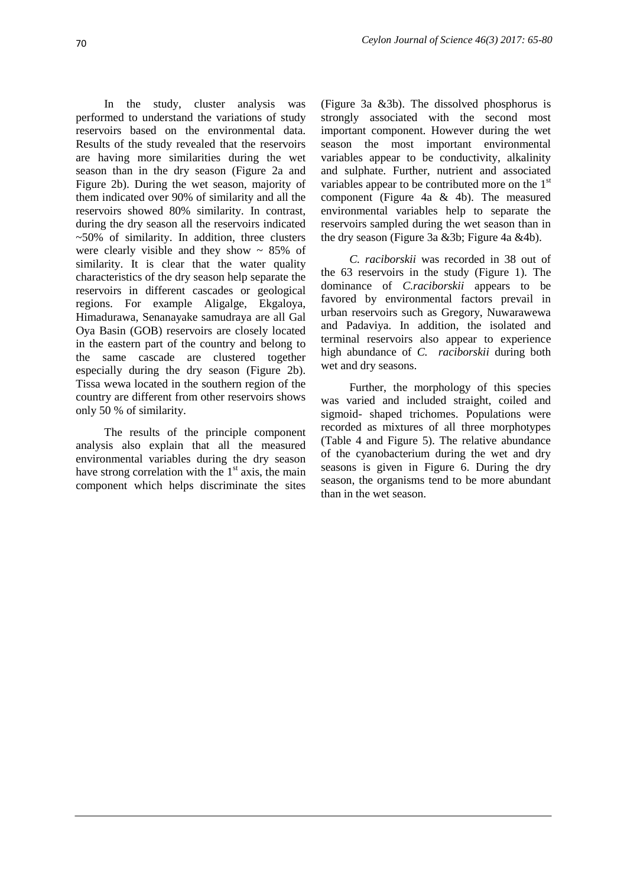In the study, cluster analysis was performed to understand the variations of study reservoirs based on the environmental data. Results of the study revealed that the reservoirs are having more similarities during the wet season than in the dry season (Figure 2a and Figure 2b). During the wet season, majority of them indicated over 90% of similarity and all the reservoirs showed 80% similarity. In contrast, during the dry season all the reservoirs indicated  $~50\%$  of similarity. In addition, three clusters were clearly visible and they show  $\sim 85\%$  of similarity. It is clear that the water quality characteristics of the dry season help separate the reservoirs in different cascades or geological regions. For example Aligalge, Ekgaloya, Himadurawa, Senanayake samudraya are all Gal Oya Basin (GOB) reservoirs are closely located in the eastern part of the country and belong to the same cascade are clustered together especially during the dry season (Figure 2b). Tissa wewa located in the southern region of the country are different from other reservoirs shows only 50 % of similarity.

The results of the principle component analysis also explain that all the measured environmental variables during the dry season have strong correlation with the  $1<sup>st</sup>$  axis, the main component which helps discriminate the sites

(Figure 3a &3b). The dissolved phosphorus is strongly associated with the second most important component. However during the wet season the most important environmental variables appear to be conductivity, alkalinity and sulphate. Further, nutrient and associated variables appear to be contributed more on the  $1<sup>st</sup>$ component (Figure 4a & 4b). The measured environmental variables help to separate the reservoirs sampled during the wet season than in the dry season (Figure 3a &3b; Figure 4a &4b).

*C. raciborskii* was recorded in 38 out of the 63 reservoirs in the study (Figure 1). The dominance of *C.raciborskii* appears to be favored by environmental factors prevail in urban reservoirs such as Gregory, Nuwarawewa and Padaviya. In addition, the isolated and terminal reservoirs also appear to experience high abundance of *C. raciborskii* during both wet and dry seasons.

Further, the morphology of this species was varied and included straight, coiled and sigmoid- shaped trichomes. Populations were recorded as mixtures of all three morphotypes (Table 4 and Figure 5). The relative abundance of the cyanobacterium during the wet and dry seasons is given in Figure 6. During the dry season, the organisms tend to be more abundant than in the wet season.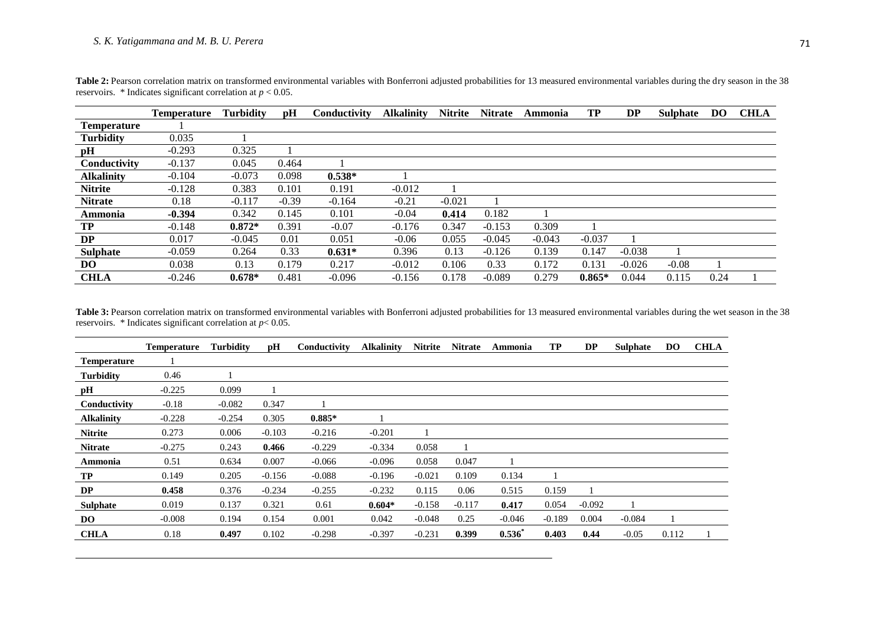|                    | Temperature | <b>Turbidity</b> | pH      | Conductivity | <b>Alkalinity</b> | <b>Nitrite</b> | <b>Nitrate</b> | Ammonia  | TP       | <b>DP</b> | <b>Sulphate</b> | <b>DO</b> | <b>CHLA</b> |
|--------------------|-------------|------------------|---------|--------------|-------------------|----------------|----------------|----------|----------|-----------|-----------------|-----------|-------------|
| <b>Temperature</b> |             |                  |         |              |                   |                |                |          |          |           |                 |           |             |
| <b>Turbidity</b>   | 0.035       |                  |         |              |                   |                |                |          |          |           |                 |           |             |
| pН                 | $-0.293$    | 0.325            |         |              |                   |                |                |          |          |           |                 |           |             |
| Conductivity       | $-0.137$    | 0.045            | 0.464   |              |                   |                |                |          |          |           |                 |           |             |
| <b>Alkalinity</b>  | $-0.104$    | $-0.073$         | 0.098   | $0.538*$     |                   |                |                |          |          |           |                 |           |             |
| <b>Nitrite</b>     | $-0.128$    | 0.383            | 0.101   | 0.191        | $-0.012$          |                |                |          |          |           |                 |           |             |
| <b>Nitrate</b>     | 0.18        | $-0.117$         | $-0.39$ | $-0.164$     | $-0.21$           | $-0.021$       |                |          |          |           |                 |           |             |
| Ammonia            | $-0.394$    | 0.342            | 0.145   | 0.101        | $-0.04$           | 0.414          | 0.182          |          |          |           |                 |           |             |
| TP                 | $-0.148$    | $0.872*$         | 0.391   | $-0.07$      | $-0.176$          | 0.347          | $-0.153$       | 0.309    |          |           |                 |           |             |
| DP                 | 0.017       | $-0.045$         | 0.01    | 0.051        | $-0.06$           | 0.055          | $-0.045$       | $-0.043$ | $-0.037$ |           |                 |           |             |
| <b>Sulphate</b>    | $-0.059$    | 0.264            | 0.33    | $0.631*$     | 0.396             | 0.13           | $-0.126$       | 0.139    | 0.147    | $-0.038$  |                 |           |             |
| DO                 | 0.038       | 0.13             | 0.179   | 0.217        | $-0.012$          | 0.106          | 0.33           | 0.172    | 0.131    | $-0.026$  | $-0.08$         |           |             |
| <b>CHLA</b>        | $-0.246$    | $0.678*$         | 0.481   | $-0.096$     | $-0.156$          | 0.178          | $-0.089$       | 0.279    | $0.865*$ | 0.044     | 0.115           | 0.24      |             |

Table 2: Pearson correlation matrix on transformed environmental variables with Bonferroni adjusted probabilities for 13 measured environmental variables during the dry season in the 38 reservoirs.  $*$  Indicates significant correlation at  $p < 0.05$ .

Table 3: Pearson correlation matrix on transformed environmental variables with Bonferroni adjusted probabilities for 13 measured environmental variables during the wet season in the 38 reservoirs. \* Indicates significant correlation at *p*< 0.05.

|                    | <b>Temperature</b> | <b>Turbidity</b> | pH       | Conductivity | <b>Alkalinity</b> | <b>Nitrite</b> | <b>Nitrate</b> | Ammonia   | TP       | <b>DP</b> | <b>Sulphate</b> | DO.   | <b>CHLA</b> |
|--------------------|--------------------|------------------|----------|--------------|-------------------|----------------|----------------|-----------|----------|-----------|-----------------|-------|-------------|
| <b>Temperature</b> |                    |                  |          |              |                   |                |                |           |          |           |                 |       |             |
| <b>Turbidity</b>   | 0.46               |                  |          |              |                   |                |                |           |          |           |                 |       |             |
| pН                 | $-0.225$           | 0.099            |          |              |                   |                |                |           |          |           |                 |       |             |
| Conductivity       | $-0.18$            | $-0.082$         | 0.347    |              |                   |                |                |           |          |           |                 |       |             |
| <b>Alkalinity</b>  | $-0.228$           | $-0.254$         | 0.305    | $0.885*$     |                   |                |                |           |          |           |                 |       |             |
| <b>Nitrite</b>     | 0.273              | 0.006            | $-0.103$ | $-0.216$     | $-0.201$          |                |                |           |          |           |                 |       |             |
| <b>Nitrate</b>     | $-0.275$           | 0.243            | 0.466    | $-0.229$     | $-0.334$          | 0.058          |                |           |          |           |                 |       |             |
| Ammonia            | 0.51               | 0.634            | 0.007    | $-0.066$     | $-0.096$          | 0.058          | 0.047          |           |          |           |                 |       |             |
| TP                 | 0.149              | 0.205            | $-0.156$ | $-0.088$     | $-0.196$          | $-0.021$       | 0.109          | 0.134     |          |           |                 |       |             |
| DP                 | 0.458              | 0.376            | $-0.234$ | $-0.255$     | $-0.232$          | 0.115          | 0.06           | 0.515     | 0.159    |           |                 |       |             |
| <b>Sulphate</b>    | 0.019              | 0.137            | 0.321    | 0.61         | $0.604*$          | $-0.158$       | $-0.117$       | 0.417     | 0.054    | $-0.092$  |                 |       |             |
| DO.                | $-0.008$           | 0.194            | 0.154    | 0.001        | 0.042             | $-0.048$       | 0.25           | $-0.046$  | $-0.189$ | 0.004     | $-0.084$        |       |             |
| <b>CHLA</b>        | 0.18               | 0.497            | 0.102    | $-0.298$     | $-0.397$          | $-0.231$       | 0.399          | $0.536^*$ | 0.403    | 0.44      | $-0.05$         | 0.112 |             |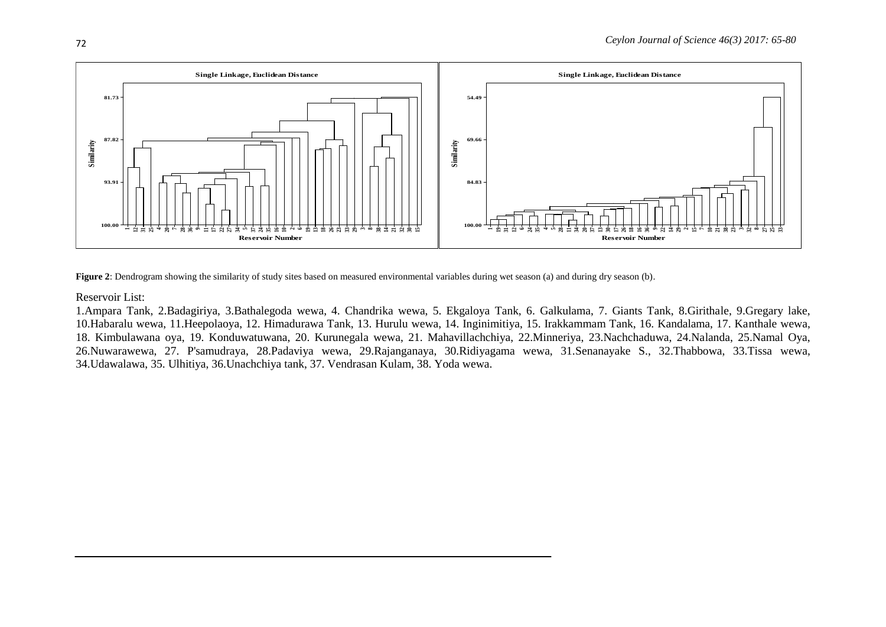

**Figure 2**: Dendrogram showing the similarity of study sites based on measured environmental variables during wet season (a) and during dry season (b).

Reservoir List:

1.Ampara Tank, 2.Badagiriya, 3.Bathalegoda wewa, 4. Chandrika wewa, 5. Ekgaloya Tank, 6. Galkulama, 7. Giants Tank, 8.Girithale, 9.Gregary lake, 10.Habaralu wewa, 11.Heepolaoya, 12. Himadurawa Tank, 13. Hurulu wewa, 14. Inginimitiya, 15. Irakkammam Tank, 16. Kandalama, 17. Kanthale wewa, 18. Kimbulawana oya, 19. Konduwatuwana, 20. Kurunegala wewa, 21. Mahavillachchiya, 22.Minneriya, 23.Nachchaduwa, 24.Nalanda, 25.Namal Oya, 26.Nuwarawewa, 27. P'samudraya, 28.Padaviya wewa, 29.Rajanganaya, 30.Ridiyagama wewa, 31.Senanayake S., 32.Thabbowa, 33.Tissa wewa, 34.Udawalawa, 35. Ulhitiya, 36.Unachchiya tank, 37. Vendrasan Kulam, 38. Yoda wewa.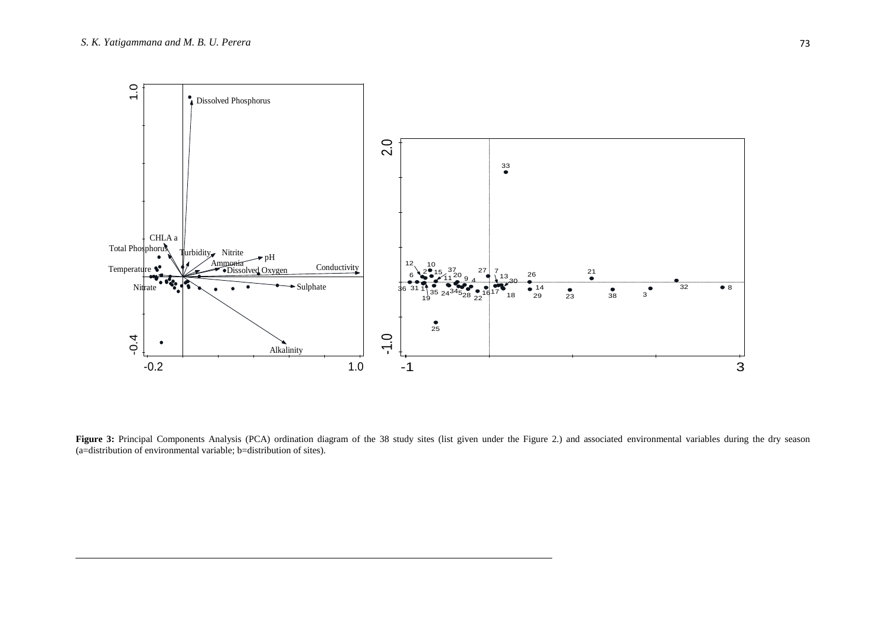

Figure 3: Principal Components Analysis (PCA) ordination diagram of the 38 study sites (list given under the Figure 2.) and associated environmental variables during the dry season  $(a=$ distribution of environmental variable; b=distribution of sites).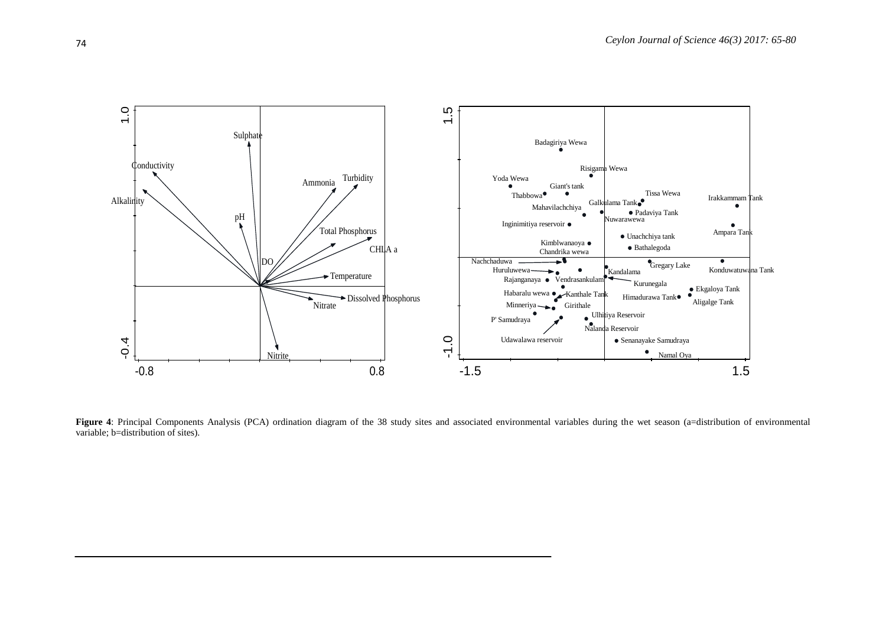

**Figure 4**: Principal Components Analysis (PCA) ordination diagram of the 38 study sites and associated environmental variables during the wet season (a=distribution of environmental variable; b=distribution of sites).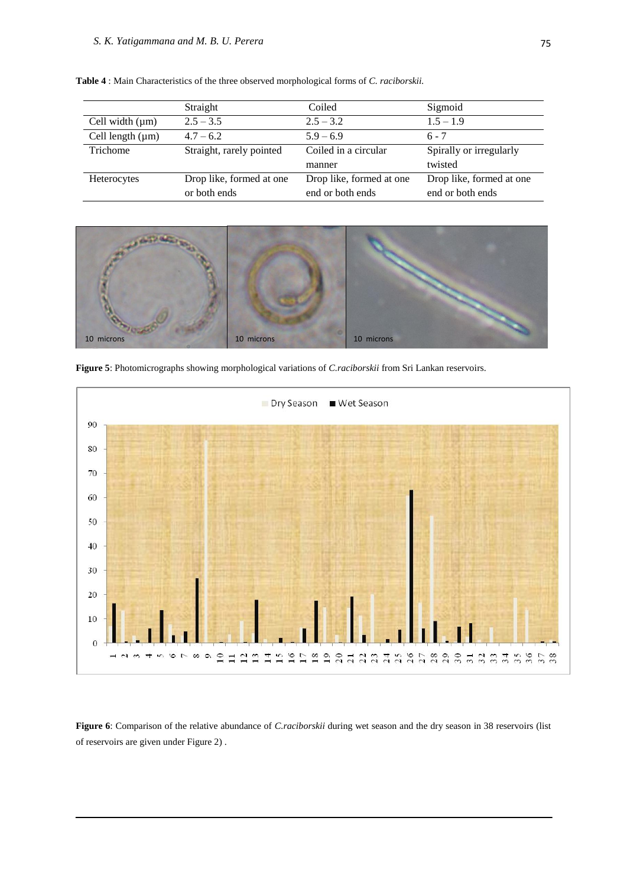|                       | Straight                 | Coiled                   | Sigmoid                  |
|-----------------------|--------------------------|--------------------------|--------------------------|
| Cell width $(\mu m)$  | $2.5 - 3.5$              | $2.5 - 3.2$              | $1.5 - 1.9$              |
| Cell length $(\mu m)$ | $4.7 - 6.2$              | $5.9 - 6.9$              | $6 - 7$                  |
| Trichome              | Straight, rarely pointed | Coiled in a circular     | Spirally or irregularly  |
|                       |                          | manner                   | twisted                  |
| Heterocytes           | Drop like, formed at one | Drop like, formed at one | Drop like, formed at one |
|                       | or both ends             | end or both ends         | end or both ends         |

**Table 4** : Main Characteristics of the three observed morphological forms of *C. raciborskii.*



**Figure 5**: Photomicrographs showing morphological variations of *C.raciborskii* from Sri Lankan reservoirs.



**Figure 6**: Comparison of the relative abundance of *C.raciborskii* during wet season and the dry season in 38 reservoirs (list of reservoirs are given under Figure 2) .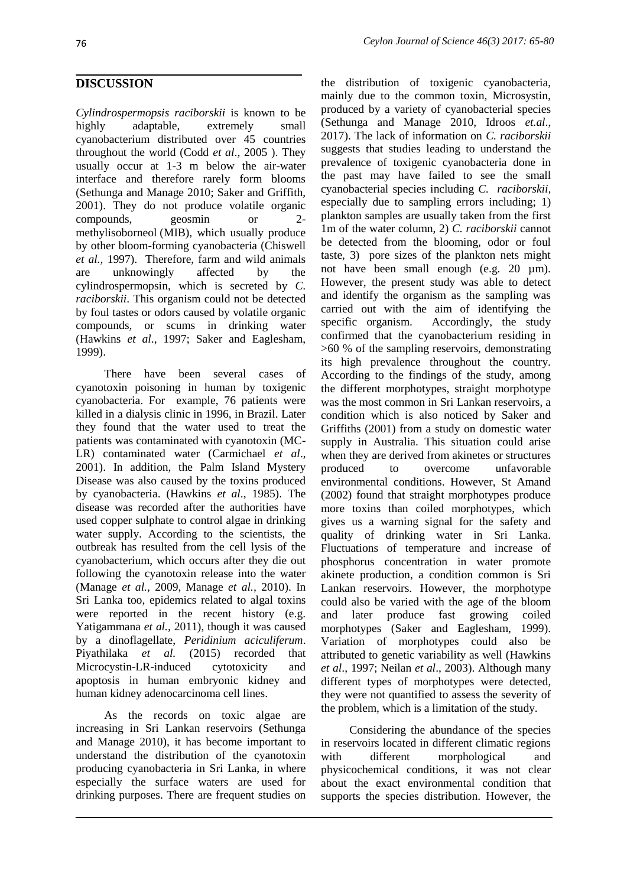# **DISCUSSION**

*Cylindrospermopsis raciborskii* is known to be highly adaptable, extremely small cyanobacterium distributed over 45 countries throughout the world (Codd *et al*., 2005 ). They usually occur at 1-3 m below the air-water interface and therefore rarely form blooms (Sethunga and Manage 2010; Saker and Griffith, 2001). They do not produce volatile organic compounds, geosmin or 2 methylisoborneol (MIB), which usually produce by other bloom-forming cyanobacteria (Chiswell *et al.,* 1997). Therefore, farm and wild animals are unknowingly affected by the cylindrospermopsin, which is secreted by *C. raciborskii*. This organism could not be detected by foul tastes or odors caused by volatile organic compounds, or scums in drinking water (Hawkins *et al*., 1997; Saker and Eaglesham, 1999).

There have been several cases of cyanotoxin poisoning in human by toxigenic cyanobacteria. For example, 76 patients were killed in a dialysis clinic in 1996, in Brazil. Later they found that the water used to treat the patients was contaminated with cyanotoxin (MC-LR) contaminated water (Carmichael *et al*., 2001). In addition, the Palm Island Mystery Disease was also caused by the toxins produced by cyanobacteria. (Hawkins *et al*., 1985). The disease was recorded after the authorities have used copper sulphate to control algae in drinking water supply. According to the scientists, the outbreak has resulted from the cell lysis of the cyanobacterium, which occurs after they die out following the cyanotoxin release into the water (Manage *et al.,* 2009, Manage *et al.,* 2010). In Sri Lanka too, epidemics related to algal toxins were reported in the recent history (e.g. Yatigammana *et al.,* 2011), though it was caused by a dinoflagellate, *Peridinium aciculiferum*. Piyathilaka *et al.* (2015) recorded that Microcystin-LR-induced cytotoxicity and apoptosis in human embryonic kidney and human kidney adenocarcinoma cell lines.

As the records on toxic algae are increasing in Sri Lankan reservoirs (Sethunga and Manage 2010), it has become important to understand the distribution of the cyanotoxin producing cyanobacteria in Sri Lanka, in where especially the surface waters are used for drinking purposes. There are frequent studies on

the distribution of toxigenic cyanobacteria, mainly due to the common toxin, Microsystin, produced by a variety of cyanobacterial species (Sethunga and Manage 2010, Idroos *et.al*., 2017). The lack of information on *C. raciborskii* suggests that studies leading to understand the prevalence of toxigenic cyanobacteria done in the past may have failed to see the small cyanobacterial species including *C. raciborskii,* especially due to sampling errors including; 1) plankton samples are usually taken from the first 1m of the water column, 2) *C. raciborskii* cannot be detected from the blooming, odor or foul taste, 3) pore sizes of the plankton nets might not have been small enough (e.g. 20  $\mu$ m). However, the present study was able to detect and identify the organism as the sampling was carried out with the aim of identifying the specific organism. Accordingly, the study confirmed that the cyanobacterium residing in >60 % of the sampling reservoirs, demonstrating its high prevalence throughout the country. According to the findings of the study, among the different morphotypes, straight morphotype was the most common in Sri Lankan reservoirs, a condition which is also noticed by Saker and Griffiths (2001) from a study on domestic water supply in Australia. This situation could arise when they are derived from akinetes or structures produced to overcome unfavorable environmental conditions. However, St Amand (2002) found that straight morphotypes produce more toxins than coiled morphotypes, which gives us a warning signal for the safety and quality of drinking water in Sri Lanka. Fluctuations of temperature and increase of phosphorus concentration in water promote akinete production, a condition common is Sri Lankan reservoirs. However, the morphotype could also be varied with the age of the bloom and later produce fast growing coiled morphotypes (Saker and Eaglesham, 1999). Variation of morphotypes could also be attributed to genetic variability as well (Hawkins *et al*., 1997; Neilan *et al*., 2003). Although many different types of morphotypes were detected, they were not quantified to assess the severity of the problem, which is a limitation of the study.

Considering the abundance of the species in reservoirs located in different climatic regions with different morphological and physicochemical conditions, it was not clear about the exact environmental condition that supports the species distribution. However, the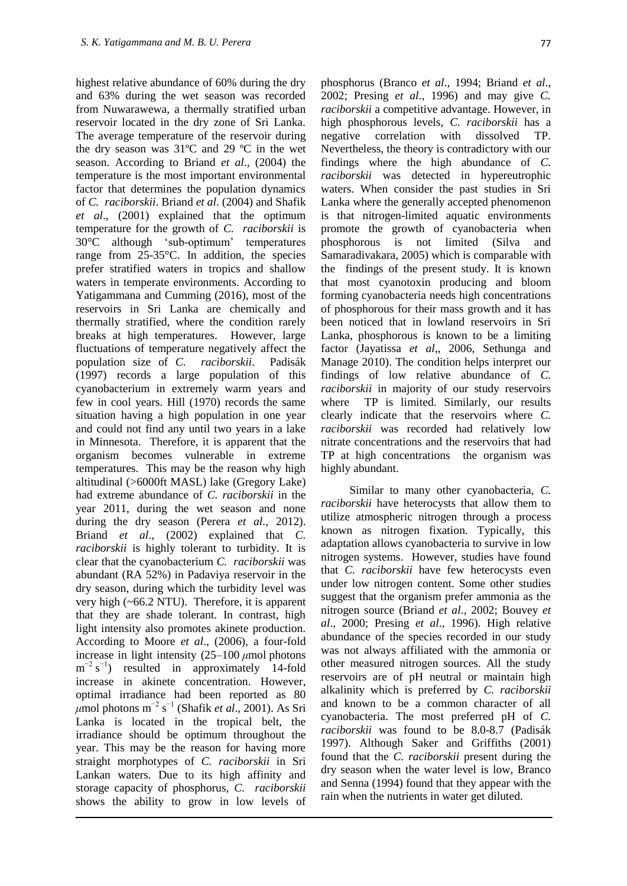highest relative abundance of 60% during the dry and 63% during the wet season was recorded from Nuwarawewa, a thermally stratified urban reservoir located in the dry zone of Sri Lanka. The average temperature of the reservoir during the dry season was 31ºC and 29 ºC in the wet season. According to Briand *et al*., (2004) the temperature is the most important environmental factor that determines the population dynamics of *C. raciborskii*. Briand *et al*. (2004) and Shafik *et al*., (2001) explained that the optimum temperature for the growth of *C. raciborskii* is 30°C although 'sub-optimum' temperatures range from 25-35°C. In addition, the species prefer stratified waters in tropics and shallow waters in temperate environments. According to Yatigammana and Cumming (2016), most of the reservoirs in Sri Lanka are chemically and thermally stratified, where the condition rarely breaks at high temperatures. However, large fluctuations of temperature negatively affect the population size of *C. raciborskii*. Padisák (1997) records a large population of this cyanobacterium in extremely warm years and few in cool years. Hill (1970) records the same situation having a high population in one year and could not find any until two years in a lake in Minnesota. Therefore, it is apparent that the organism becomes vulnerable in extreme temperatures. This may be the reason why high altitudinal (>6000ft MASL) lake (Gregory Lake) had extreme abundance of *C. raciborskii* in the year 2011, during the wet season and none during the dry season (Perera *et al.,* 2012). Briand *et al*., (2002) explained that *C. raciborskii* is highly tolerant to turbidity. It is clear that the cyanobacterium *C. raciborskii* was abundant (RA 52%) in Padaviya reservoir in the dry season, during which the turbidity level was very high (~66.2 NTU). Therefore, it is apparent that they are shade tolerant. In contrast, high light intensity also promotes akinete production. According to Moore *et al*., (2006), a four-fold increase in light intensity (25–100 *μ*mol photons  $m^{-2}$  s<sup>-1</sup>) resulted in approximately 14-fold increase in akinete concentration. However, optimal irradiance had been reported as 80 *μ*mol photons m<sup>−2</sup> s<sup>−1</sup> (Shafik *et al.*, 2001). As Sri Lanka is located in the tropical belt, the irradiance should be optimum throughout the year. This may be the reason for having more straight morphotypes of *C. raciborskii* in Sri Lankan waters. Due to its high affinity and storage capacity of phosphorus, *C. raciborskii* shows the ability to grow in low levels of

phosphorus (Branco *et al*., 1994; Briand *et al*., 2002; Presing *et al*., 1996) and may give *C. raciborskii* a competitive advantage. However, in high phosphorous levels, *C. raciborskii* has a negative correlation with dissolved TP. Nevertheless, the theory is contradictory with our findings where the high abundance of *C. raciborskii* was detected in hypereutrophic waters. When consider the past studies in Sri Lanka where the generally accepted phenomenon is that nitrogen-limited aquatic environments promote the growth of cyanobacteria when phosphorous is not limited (Silva and Samaradivakara, 2005) which is comparable with the findings of the present study. It is known that most cyanotoxin producing and bloom forming cyanobacteria needs high concentrations of phosphorous for their mass growth and it has been noticed that in lowland reservoirs in Sri Lanka, phosphorous is known to be a limiting factor (Jayatissa *et al*,, 2006, Sethunga and Manage 2010). The condition helps interpret our findings of low relative abundance of *C. raciborskii* in majority of our study reservoirs where TP is limited. Similarly, our results clearly indicate that the reservoirs where *C. raciborskii* was recorded had relatively low nitrate concentrations and the reservoirs that had TP at high concentrations the organism was highly abundant.

Similar to many other cyanobacteria, *C. raciborskii* have heterocysts that allow them to utilize atmospheric nitrogen through a process known as nitrogen fixation. Typically, this adaptation allows cyanobacteria to survive in low nitrogen systems. However, studies have found that *C. raciborskii* have few heterocysts even under low nitrogen content. Some other studies suggest that the organism prefer ammonia as the nitrogen source (Briand *et al*., 2002; Bouvey *et al*., 2000; Presing *et al*., 1996). High relative abundance of the species recorded in our study was not always affiliated with the ammonia or other measured nitrogen sources. All the study reservoirs are of pH neutral or maintain high alkalinity which is preferred by *C. raciborskii* and known to be a common character of all cyanobacteria. The most preferred pH of *C. raciborskii* was found to be 8.0-8.7 (Padisák 1997). Although Saker and Griffiths (2001) found that the *C. raciborskii* present during the dry season when the water level is low, Branco and Senna (1994) found that they appear with the rain when the nutrients in water get diluted.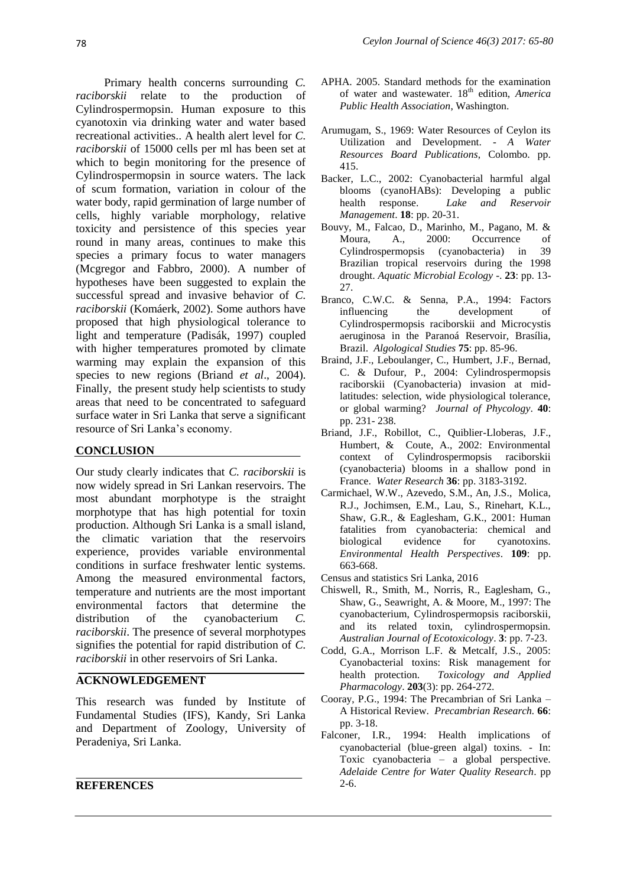Primary health concerns surrounding *C. raciborskii* relate to the production of Cylindrospermopsin. Human exposure to this cyanotoxin via drinking water and water based recreational activities.. A health alert level for *C. raciborskii* of 15000 cells per ml has been set at which to begin monitoring for the presence of Cylindrospermopsin in source waters. The lack of scum formation, variation in colour of the water body, rapid germination of large number of cells, highly variable morphology, relative toxicity and persistence of this species year round in many areas, continues to make this species a primary focus to water managers (Mcgregor and Fabbro, 2000). A number of hypotheses have been suggested to explain the successful spread and invasive behavior of *C. raciborskii* (Komáerk, 2002). Some authors have proposed that high physiological tolerance to light and temperature (Padisák, 1997) coupled with higher temperatures promoted by climate warming may explain the expansion of this species to new regions (Briand *et al*., 2004). Finally, the present study help scientists to study areas that need to be concentrated to safeguard surface water in Sri Lanka that serve a significant resource of Sri Lanka's economy.

### **CONCLUSION**

Our study clearly indicates that *C. raciborskii* is now widely spread in Sri Lankan reservoirs. The most abundant morphotype is the straight morphotype that has high potential for toxin production. Although Sri Lanka is a small island, the climatic variation that the reservoirs experience, provides variable environmental conditions in surface freshwater lentic systems. Among the measured environmental factors, temperature and nutrients are the most important environmental factors that determine the distribution of the cyanobacterium *C*. *raciborskii*. The presence of several morphotypes signifies the potential for rapid distribution of *C. raciborskii* in other reservoirs of Sri Lanka.

### **ACKNOWLEDGEMENT**

This research was funded by Institute of Fundamental Studies (IFS), Kandy, Sri Lanka and Department of Zoology, University of Peradeniya, Sri Lanka.

#### **REFERENCES**

- APHA. 2005. Standard methods for the examination of water and wastewater. 18th edition, *America Public Health Association*, Washington.
- Arumugam, S., 1969: Water Resources of Ceylon its Utilization and Development. - *A Water Resources Board Publications*, Colombo. pp. 415.
- Backer, L.C., 2002: Cyanobacterial harmful algal blooms (cyanoHABs): Developing a public health response. *Lake and Reservoir Management*. **18**: pp. 20-31.
- Bouvy, M., Falcao, D., Marinho, M., Pagano, M. & Moura, A., 2000: Occurrence of Cylindrospermopsis (cyanobacteria) in 39 Brazilian tropical reservoirs during the 1998 drought. *Aquatic Microbial Ecology* -. **23**: pp. 13- 27.
- Branco, C.W.C. & Senna, P.A., 1994: Factors influencing the development of Cylindrospermopsis raciborskii and Microcystis aeruginosa in the Paranoá Reservoir, Brasília, Brazil. *Algological Studies* **75**: pp. 85-96.
- Braind, J.F., Leboulanger, C., Humbert, J.F., Bernad, C. & Dufour, P., 2004: Cylindrospermopsis raciborskii (Cyanobacteria) invasion at midlatitudes: selection, wide physiological tolerance, or global warming? *Journal of Phycology*. **40**: pp. 231- 238.
- Briand, J.F., Robillot, C., Quiblier-Lloberas, J.F., Humbert, & Coute, A., 2002: Environmental context of Cylindrospermopsis raciborskii (cyanobacteria) blooms in a shallow pond in France. *Water Research* **36**: pp. 3183-3192.
- Carmichael, W.W., Azevedo, S.M., An, J.S., Molica, R.J., Jochimsen, E.M., Lau, S., Rinehart, K.L., Shaw, G.R., & Eaglesham, G.K., 2001: Human fatalities from cyanobacteria: chemical and biological evidence for cyanotoxins. *Environmental Health Perspectives*. **109**: pp. 663-668.
- Census and statistics Sri Lanka, 2016
- Chiswell, R., Smith, M., Norris, R., Eaglesham, G., Shaw, G., Seawright, A. & Moore, M., 1997: The cyanobacterium, Cylindrospermopsis raciborskii, and its related toxin, cylindrospermopsin. *Australian Journal of Ecotoxicology*. **3**: pp. 7-23.
- Codd, G.A., Morrison L.F. & Metcalf, J.S., 2005: Cyanobacterial toxins: Risk management for health protection. *Toxicology and Applied Pharmacology*. **203**(3): pp. 264-272.
- Cooray, P.G., 1994: The Precambrian of Sri Lanka A Historical Review. *Precambrian Research.* **66**: pp. 3-18.
- Falconer, I.R., 1994: Health implications of cyanobacterial (blue-green algal) toxins. - In: Toxic cyanobacteria – a global perspective. *Adelaide Centre for Water Quality Research*. pp 2-6.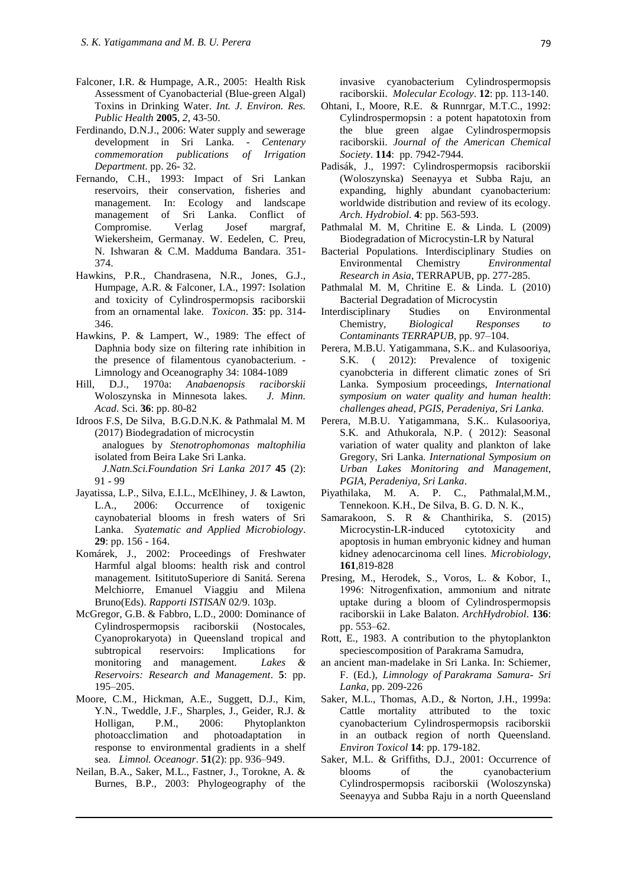- Falconer, I.R. & Humpage, A.R., 2005: Health Risk Assessment of Cyanobacterial (Blue-green Algal) Toxins in Drinking Water. *Int. J. Environ. Res. Public Health* **2005**, *2*, 43-50.
- Ferdinando, D.N.J., 2006: Water supply and sewerage development in Sri Lanka. - *Centenary commemoration publications of Irrigation Department*. pp. 26- 32.
- Fernando, C.H., 1993: Impact of Sri Lankan reservoirs, their conservation, fisheries and management. In: Ecology and landscape management of Sri Lanka. Conflict of Compromise. Verlag Josef margraf, Wiekersheim, Germanay. W. Eedelen, C. Preu, N. Ishwaran & C.M. Madduma Bandara. 351- 374.
- Hawkins, P.R., Chandrasena, N.R., Jones, G.J., Humpage, A.R. & Falconer, I.A., 1997: Isolation and toxicity of Cylindrospermopsis raciborskii from an ornamental lake. *Toxicon*. **35**: pp. 314- 346.
- Hawkins, P. & Lampert, W., 1989: The effect of Daphnia body size on filtering rate inhibition in the presence of filamentous cyanobacterium. - Limnology and Oceanography 34: 1084-1089
- Hill, D.J., 1970a: *Anabaenopsis raciborskii* Woloszynska in Minnesota lakes*. J. Minn. Acad*. Sci. **36**: pp. 80-82
- Idroos F.S, De Silva, B.G.D.N.K. & Pathmalal M. M (2017) Biodegradation of microcystin analogues by *Stenotrophomonas maltophilia*  isolated from Beira Lake Sri Lanka.
	- *J.Natn.Sci.Foundation Sri Lanka 2017* **45** (2): 91 - 99
- Jayatissa, L.P., Silva, E.I.L., McElhiney, J. & Lawton, L.A., 2006: Occurrence of toxigenic caynobaterial blooms in fresh waters of Sri Lanka. *Syatematic and Applied Microbiology*. **29**: pp. 156 - 164.
- Komárek, J., 2002: Proceedings of Freshwater Harmful algal blooms: health risk and control management. IsititutoSuperiore di Sanitá. Serena Melchiorre, Emanuel Viaggiu and Milena Bruno(Eds). *Rapporti ISTISAN* 02/9. 103p.
- McGregor, G.B. & Fabbro, L.D., 2000: Dominance of Cylindrospermopsis raciborskii (Nostocales, Cyanoprokaryota) in Queensland tropical and subtropical reservoirs: Implications for monitoring and management. *Lakes & Reservoirs: Research and Management*. **5**: pp. 195–205.
- Moore, C.M., Hickman, A.E., Suggett, D.J., Kim, Y.N., Tweddle, J.F., Sharples, J., Geider, R.J. & Holligan, P.M., 2006: Phytoplankton photoacclimation and photoadaptation in response to environmental gradients in a shelf sea. *Limnol. Oceanogr*. **51**(2): pp. 936–949.
- Neilan, B.A., Saker, M.L., Fastner, J., Torokne, A. & Burnes, B.P., 2003: Phylogeography of the

invasive cyanobacterium Cylindrospermopsis raciborskii. *Molecular Ecology*. **12**: pp. 113-140.

- Ohtani, I., Moore, R.E. & Runnrgar, M.T.C., 1992: Cylindrospermopsin : a potent hapatotoxin from the blue green algae Cylindrospermopsis raciborskii. *Journal of the American Chemical Society*. **114**: pp. 7942-7944.
- Padisák, J., 1997: Cylindrospermopsis raciborskii (Woloszynska) Seenayya et Subba Raju, an expanding, highly abundant cyanobacterium: worldwide distribution and review of its ecology. *Arch. Hydrobiol*. **4**: pp. 563-593.
- Pathmalal M. M, Chritine E. & Linda. L (2009) Biodegradation of Microcystin-LR by Natural
- Bacterial Populations. Interdisciplinary Studies on Environmental Chemistry *Environmental Research in Asia*, TERRAPUB, pp. 277-285.
- Pathmalal M. M, Chritine E. & Linda. L (2010) Bacterial Degradation of Microcystin
- Interdisciplinary Studies on Environmental Chemistry, *Biological Responses Contaminants TERRAPUB*, pp. 97–104.
- Perera, M.B.U. Yatigammana, S.K.. and Kulasooriya, S.K. ( 2012): Prevalence of toxigenic cyanobcteria in different climatic zones of Sri Lanka. Symposium proceedings, *International symposium on water quality and human health*: *challenges ahead, PGIS, Peradeniya, Sri Lanka.*
- Perera, M.B.U. Yatigammana, S.K.. Kulasooriya, S.K. and Athukorala, N.P. ( 2012): Seasonal variation of water quality and plankton of lake Gregory, Sri Lanka*. International Symposium on Urban Lakes Monitoring and Management, PGIA, Peradeniya, Sri Lanka*.
- Piyathilaka, M. A. P. C., Pathmalal,M.M., Tennekoon. K.H., De Silva, B. G. D. N. K.,
- Samarakoon, S. R & Chanthirika, S. (2015) Microcystin-LR-induced cytotoxicity and apoptosis in human embryonic kidney and human kidney adenocarcinoma cell lines. *Microbiology*, **161**,819-828
- Presing, M., Herodek, S., Voros, L. & Kobor, I., 1996: Nitrogenfixation, ammonium and nitrate uptake during a bloom of Cylindrospermopsis raciborskii in Lake Balaton. *ArchHydrobiol*. **136**: pp. 553–62.
- Rott, E., 1983. A contribution to the phytoplankton speciescomposition of Parakrama Samudra,
- an ancient man-madelake in Sri Lanka. In: Schiemer, F. (Ed.), *Limnology of Parakrama Samura- Sri Lanka*, pp. 209-226
- Saker, M.L., Thomas, A.D., & Norton, J.H., 1999a: Cattle mortality attributed to the toxic cyanobacterium Cylindrospermopsis raciborskii in an outback region of north Queensland. *Environ Toxicol* **14**: pp. 179-182.
- Saker, M.L. & Griffiths, D.J., 2001: Occurrence of blooms of the cyanobacterium Cylindrospermopsis raciborskii (Woloszynska) Seenayya and Subba Raju in a north Queensland